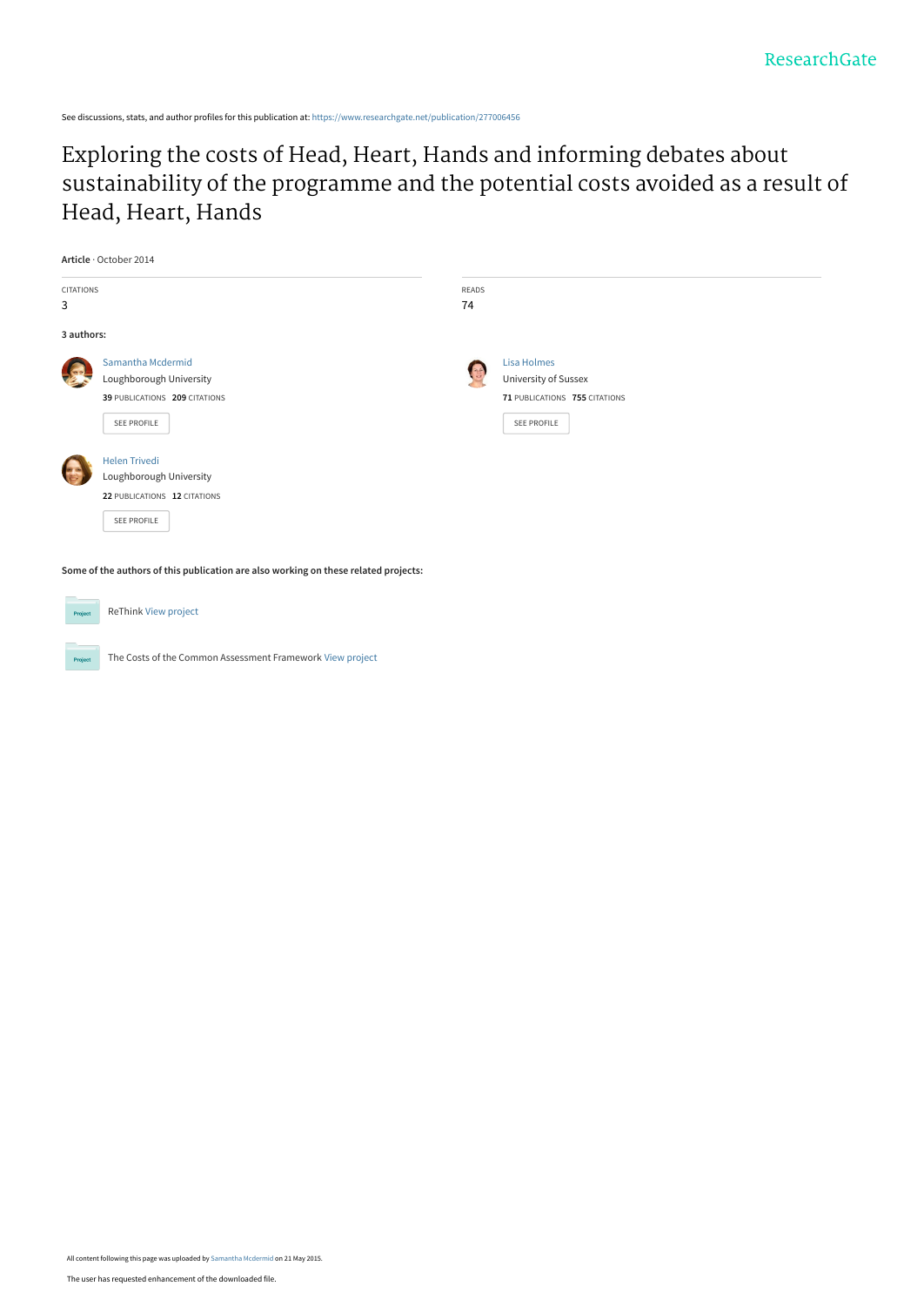See discussions, stats, and author profiles for this publication at: [https://www.researchgate.net/publication/277006456](https://www.researchgate.net/publication/277006456_Exploring_the_costs_of_Head_Heart_Hands_and_informing_debates_about_sustainability_of_the_programme_and_the_potential_costs_avoided_as_a_result_of_Head_Heart_Hands?enrichId=rgreq-61c0c0a646d7c403b778e060f910d783-XXX&enrichSource=Y292ZXJQYWdlOzI3NzAwNjQ1NjtBUzoyMzE0NTY5MzcwODI4ODFAMTQzMjE5NTA0MjcwMQ%3D%3D&el=1_x_2&_esc=publicationCoverPdf)

Exploring the costs of Head, Heart, Hands and informing debates about [sustainability of the programme and the potential costs avoided as a result of](https://www.researchgate.net/publication/277006456_Exploring_the_costs_of_Head_Heart_Hands_and_informing_debates_about_sustainability_of_the_programme_and_the_potential_costs_avoided_as_a_result_of_Head_Heart_Hands?enrichId=rgreq-61c0c0a646d7c403b778e060f910d783-XXX&enrichSource=Y292ZXJQYWdlOzI3NzAwNjQ1NjtBUzoyMzE0NTY5MzcwODI4ODFAMTQzMjE5NTA0MjcwMQ%3D%3D&el=1_x_3&_esc=publicationCoverPdf) Head, Heart, Hands

| <b>CITATIONS</b><br>READS<br>3<br>74                           |  |
|----------------------------------------------------------------|--|
|                                                                |  |
|                                                                |  |
| 3 authors:                                                     |  |
| Samantha Mcdermid<br>Lisa Holmes                               |  |
| University of Sussex<br>Loughborough University                |  |
| 39 PUBLICATIONS 209 CITATIONS<br>71 PUBLICATIONS 755 CITATIONS |  |
| SEE PROFILE<br>SEE PROFILE                                     |  |
| <b>Helen Trivedi</b>                                           |  |
| Loughborough University                                        |  |
| 22 PUBLICATIONS 12 CITATIONS                                   |  |
| SEE PROFILE                                                    |  |
|                                                                |  |

**Some of the authors of this publication are also working on these related projects:**



ReThink [View project](https://www.researchgate.net/project/ReThink?enrichId=rgreq-61c0c0a646d7c403b778e060f910d783-XXX&enrichSource=Y292ZXJQYWdlOzI3NzAwNjQ1NjtBUzoyMzE0NTY5MzcwODI4ODFAMTQzMjE5NTA0MjcwMQ%3D%3D&el=1_x_9&_esc=publicationCoverPdf)

The Costs of the Common Assessment Framework [View project](https://www.researchgate.net/project/The-Costs-of-the-Common-Assessment-Framework?enrichId=rgreq-61c0c0a646d7c403b778e060f910d783-XXX&enrichSource=Y292ZXJQYWdlOzI3NzAwNjQ1NjtBUzoyMzE0NTY5MzcwODI4ODFAMTQzMjE5NTA0MjcwMQ%3D%3D&el=1_x_9&_esc=publicationCoverPdf)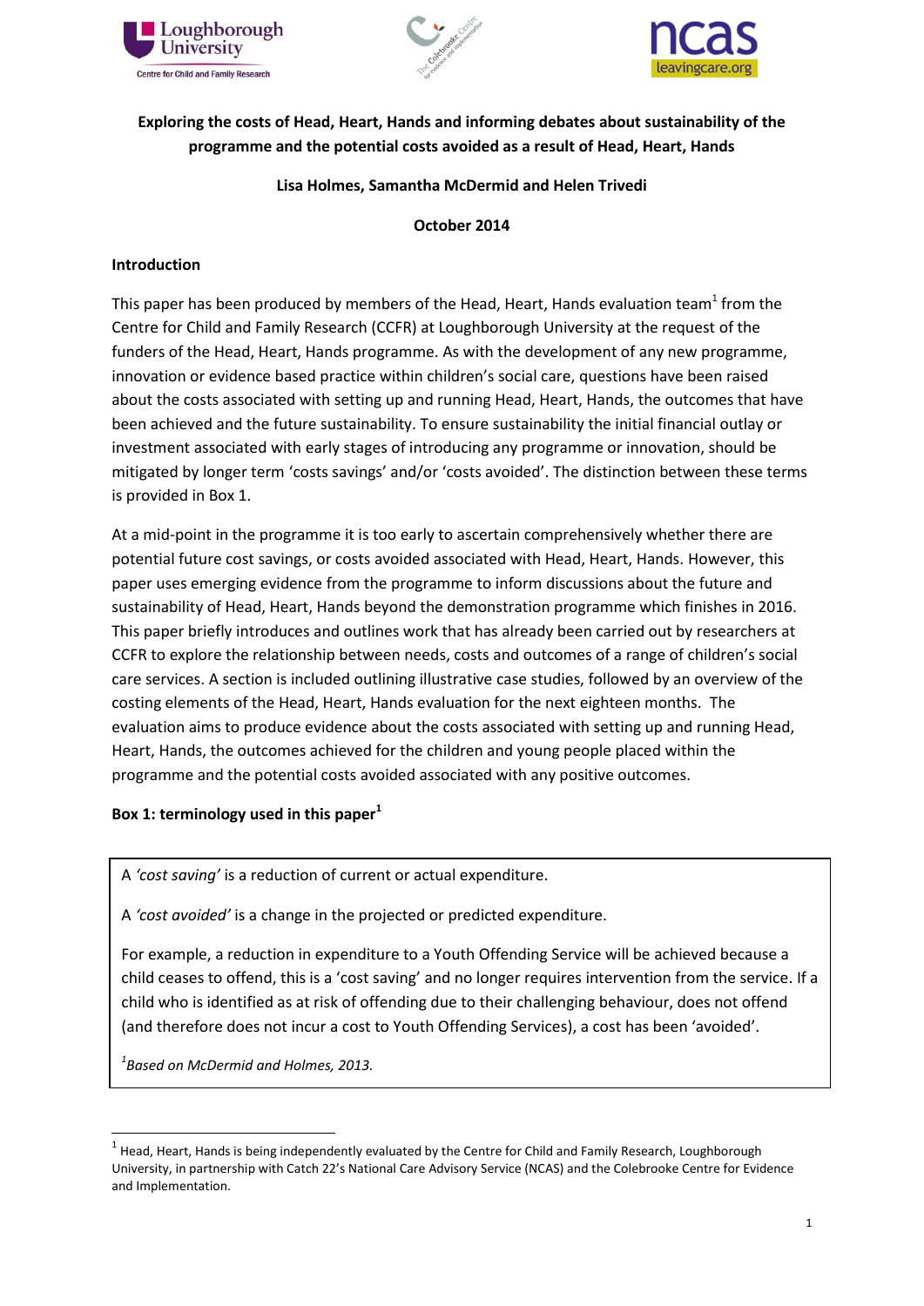





# **Exploring the costs of Head, Heart, Hands and informing debates about sustainability of the programme and the potential costs avoided as a result of Head, Heart, Hands**

### **Lisa Holmes, Samantha McDermid and Helen Trivedi**

#### **October 2014**

### **Introduction**

This paper has been produced by members of the Head, Heart, Hands evaluation team<sup>1</sup> from the Centre for Child and Family Research (CCFR) at Loughborough University at the request of the funders of the Head, Heart, Hands programme. As with the development of any new programme, innovation or evidence based practice within children's social care, questions have been raised about the costs associated with setting up and running Head, Heart, Hands, the outcomes that have been achieved and the future sustainability. To ensure sustainability the initial financial outlay or investment associated with early stages of introducing any programme or innovation, should be mitigated by longer term 'costs savings' and/or 'costs avoided'. The distinction between these terms is provided in Box 1.

At a mid-point in the programme it is too early to ascertain comprehensively whether there are potential future cost savings, or costs avoided associated with Head, Heart, Hands. However, this paper uses emerging evidence from the programme to inform discussions about the future and sustainability of Head, Heart, Hands beyond the demonstration programme which finishes in 2016. This paper briefly introduces and outlines work that has already been carried out by researchers at CCFR to explore the relationship between needs, costs and outcomes of a range of children's social care services. A section is included outlining illustrative case studies, followed by an overview of the costing elements of the Head, Heart, Hands evaluation for the next eighteen months. The evaluation aims to produce evidence about the costs associated with setting up and running Head, Heart, Hands, the outcomes achieved for the children and young people placed within the programme and the potential costs avoided associated with any positive outcomes.

### **Box 1: terminology used in this paper<sup>1</sup>**

A *'cost saving'* is a reduction of current or actual expenditure.

A *'cost avoided'* is a change in the projected or predicted expenditure.

For example, a reduction in expenditure to a Youth Offending Service will be achieved because a child ceases to offend, this is a 'cost saving' and no longer requires intervention from the service. If a child who is identified as at risk of offending due to their challenging behaviour, does not offend (and therefore does not incur a cost to Youth Offending Services), a cost has been 'avoided'.

*1 Based on McDermid and Holmes, 2013.*

**Backround** 

1

 $^1$  Head, Heart, Hands is being independently evaluated by the Centre for Child and Family Research, Loughborough University, in partnership with Catch 22's National Care Advisory Service (NCAS) and the Colebrooke Centre for Evidence and Implementation.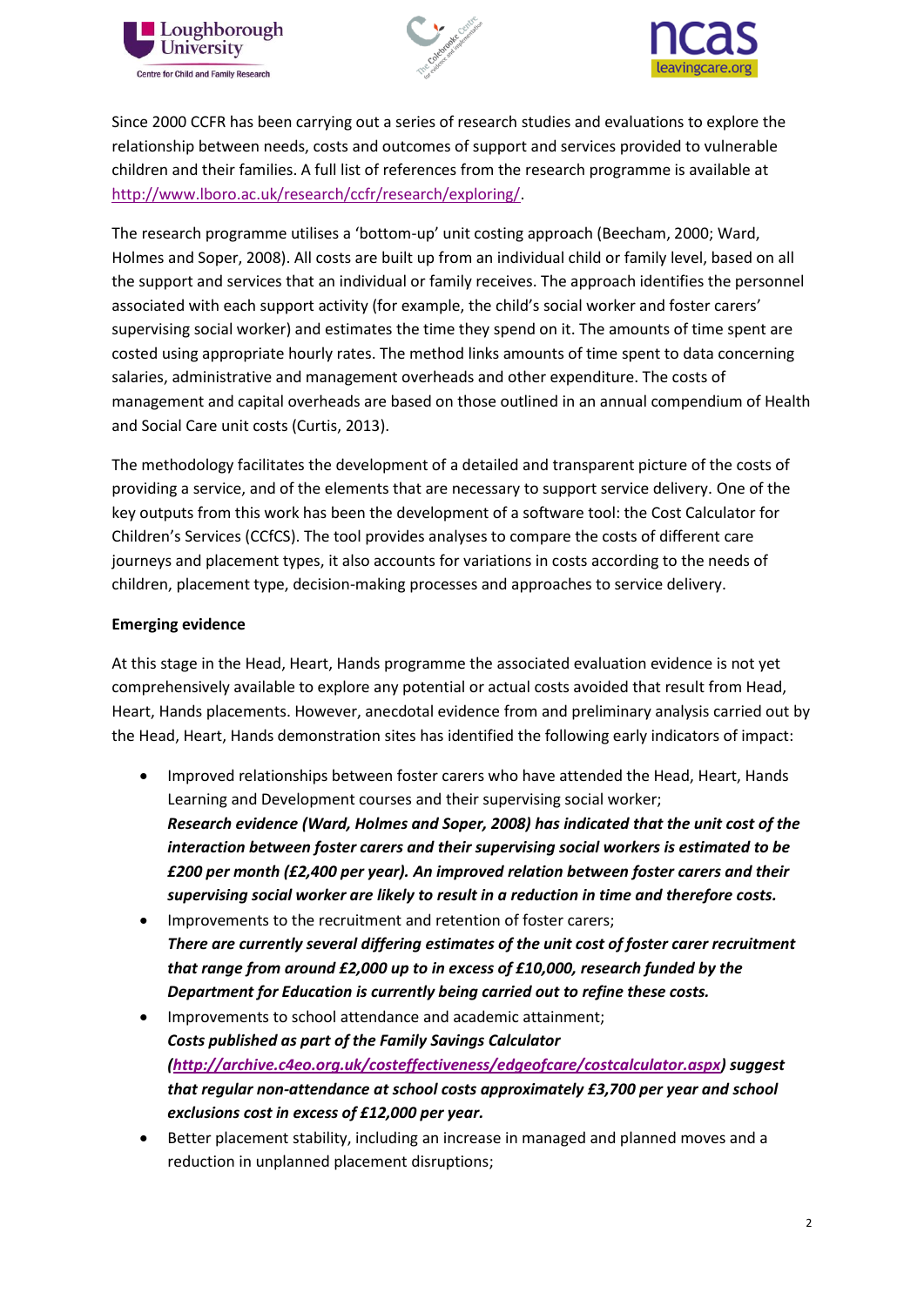





Since 2000 CCFR has been carrying out a series of research studies and evaluations to explore the relationship between needs, costs and outcomes of support and services provided to vulnerable children and their families. A full list of references from the research programme is available at [http://www.lboro.ac.uk/research/ccfr/research/exploring/.](http://www.lboro.ac.uk/research/ccfr/research/exploring/)

The research programme utilises a 'bottom-up' unit costing approach (Beecham, 2000; Ward, Holmes and Soper, 2008). All costs are built up from an individual child or family level, based on all the support and services that an individual or family receives. The approach identifies the personnel associated with each support activity (for example, the child's social worker and foster carers' supervising social worker) and estimates the time they spend on it. The amounts of time spent are costed using appropriate hourly rates. The method links amounts of time spent to data concerning salaries, administrative and management overheads and other expenditure. The costs of management and capital overheads are based on those outlined in an annual compendium of Health and Social Care unit costs (Curtis, 2013).

The methodology facilitates the development of a detailed and transparent picture of the costs of providing a service, and of the elements that are necessary to support service delivery. One of the key outputs from this work has been the development of a software tool: the Cost Calculator for Children's Services (CCfCS). The tool provides analyses to compare the costs of different care journeys and placement types, it also accounts for variations in costs according to the needs of children, placement type, decision-making processes and approaches to service delivery.

### **Emerging evidence**

At this stage in the Head, Heart, Hands programme the associated evaluation evidence is not yet comprehensively available to explore any potential or actual costs avoided that result from Head, Heart, Hands placements. However, anecdotal evidence from and preliminary analysis carried out by the Head, Heart, Hands demonstration sites has identified the following early indicators of impact:

- Improved relationships between foster carers who have attended the Head, Heart, Hands Learning and Development courses and their supervising social worker; *Research evidence (Ward, Holmes and Soper, 2008) has indicated that the unit cost of the interaction between foster carers and their supervising social workers is estimated to be £200 per month (£2,400 per year). An improved relation between foster carers and their supervising social worker are likely to result in a reduction in time and therefore costs.*
- Improvements to the recruitment and retention of foster carers; *There are currently several differing estimates of the unit cost of foster carer recruitment that range from around £2,000 up to in excess of £10,000, research funded by the Department for Education is currently being carried out to refine these costs.*
- Improvements to school attendance and academic attainment; *Costs published as part of the Family Savings Calculator [\(http://archive.c4eo.org.uk/costeffectiveness/edgeofcare/costcalculator.aspx\)](http://archive.c4eo.org.uk/costeffectiveness/edgeofcare/costcalculator.aspx) suggest that regular non-attendance at school costs approximately £3,700 per year and school exclusions cost in excess of £12,000 per year.*
- Better placement stability, including an increase in managed and planned moves and a reduction in unplanned placement disruptions;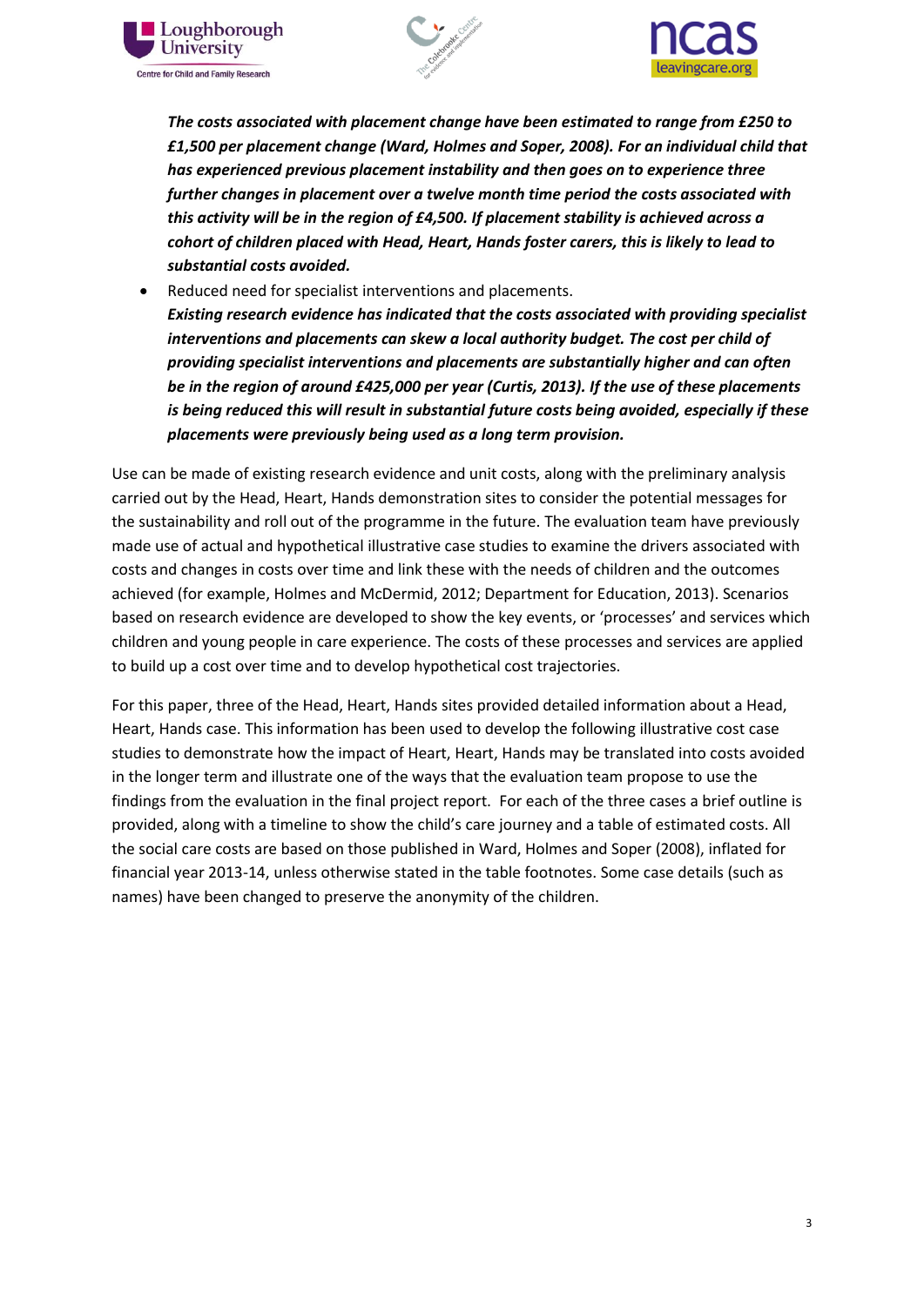





*The costs associated with placement change have been estimated to range from £250 to £1,500 per placement change (Ward, Holmes and Soper, 2008). For an individual child that has experienced previous placement instability and then goes on to experience three further changes in placement over a twelve month time period the costs associated with this activity will be in the region of £4,500. If placement stability is achieved across a cohort of children placed with Head, Heart, Hands foster carers, this is likely to lead to substantial costs avoided.*

 Reduced need for specialist interventions and placements. *Existing research evidence has indicated that the costs associated with providing specialist interventions and placements can skew a local authority budget. The cost per child of providing specialist interventions and placements are substantially higher and can often be in the region of around £425,000 per year (Curtis, 2013). If the use of these placements is being reduced this will result in substantial future costs being avoided, especially if these placements were previously being used as a long term provision.*

Use can be made of existing research evidence and unit costs, along with the preliminary analysis carried out by the Head, Heart, Hands demonstration sites to consider the potential messages for the sustainability and roll out of the programme in the future. The evaluation team have previously made use of actual and hypothetical illustrative case studies to examine the drivers associated with costs and changes in costs over time and link these with the needs of children and the outcomes achieved (for example, Holmes and McDermid, 2012; Department for Education, 2013). Scenarios based on research evidence are developed to show the key events, or 'processes' and services which children and young people in care experience. The costs of these processes and services are applied to build up a cost over time and to develop hypothetical cost trajectories.

For this paper, three of the Head, Heart, Hands sites provided detailed information about a Head, Heart, Hands case. This information has been used to develop the following illustrative cost case studies to demonstrate how the impact of Heart, Heart, Hands may be translated into costs avoided in the longer term and illustrate one of the ways that the evaluation team propose to use the findings from the evaluation in the final project report. For each of the three cases a brief outline is provided, along with a timeline to show the child's care journey and a table of estimated costs. All the social care costs are based on those published in Ward, Holmes and Soper (2008), inflated for financial year 2013-14, unless otherwise stated in the table footnotes. Some case details (such as names) have been changed to preserve the anonymity of the children.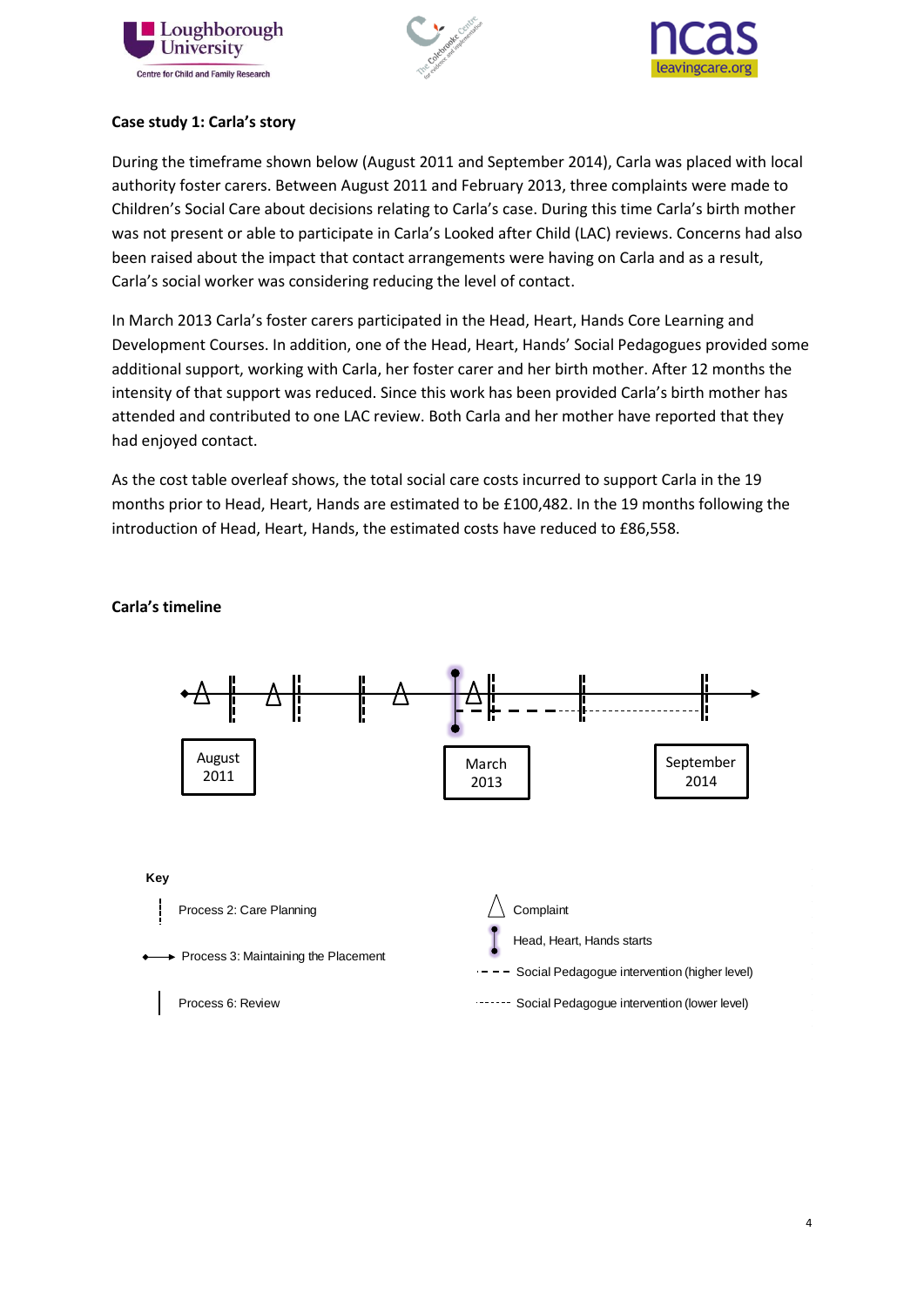





### **Case study 1: Carla's story**

During the timeframe shown below (August 2011 and September 2014), Carla was placed with local authority foster carers. Between August 2011 and February 2013, three complaints were made to Children's Social Care about decisions relating to Carla's case. During this time Carla's birth mother was not present or able to participate in Carla's Looked after Child (LAC) reviews. Concerns had also been raised about the impact that contact arrangements were having on Carla and as a result, Carla's social worker was considering reducing the level of contact.

In March 2013 Carla's foster carers participated in the Head, Heart, Hands Core Learning and Development Courses. In addition, one of the Head, Heart, Hands' Social Pedagogues provided some additional support, working with Carla, her foster carer and her birth mother. After 12 months the intensity of that support was reduced. Since this work has been provided Carla's birth mother has attended and contributed to one LAC review. Both Carla and her mother have reported that they had enjoyed contact.

As the cost table overleaf shows, the total social care costs incurred to support Carla in the 19 months prior to Head, Heart, Hands are estimated to be £100,482. In the 19 months following the introduction of Head, Heart, Hands, the estimated costs have reduced to £86,558.



### **Carla's timeline**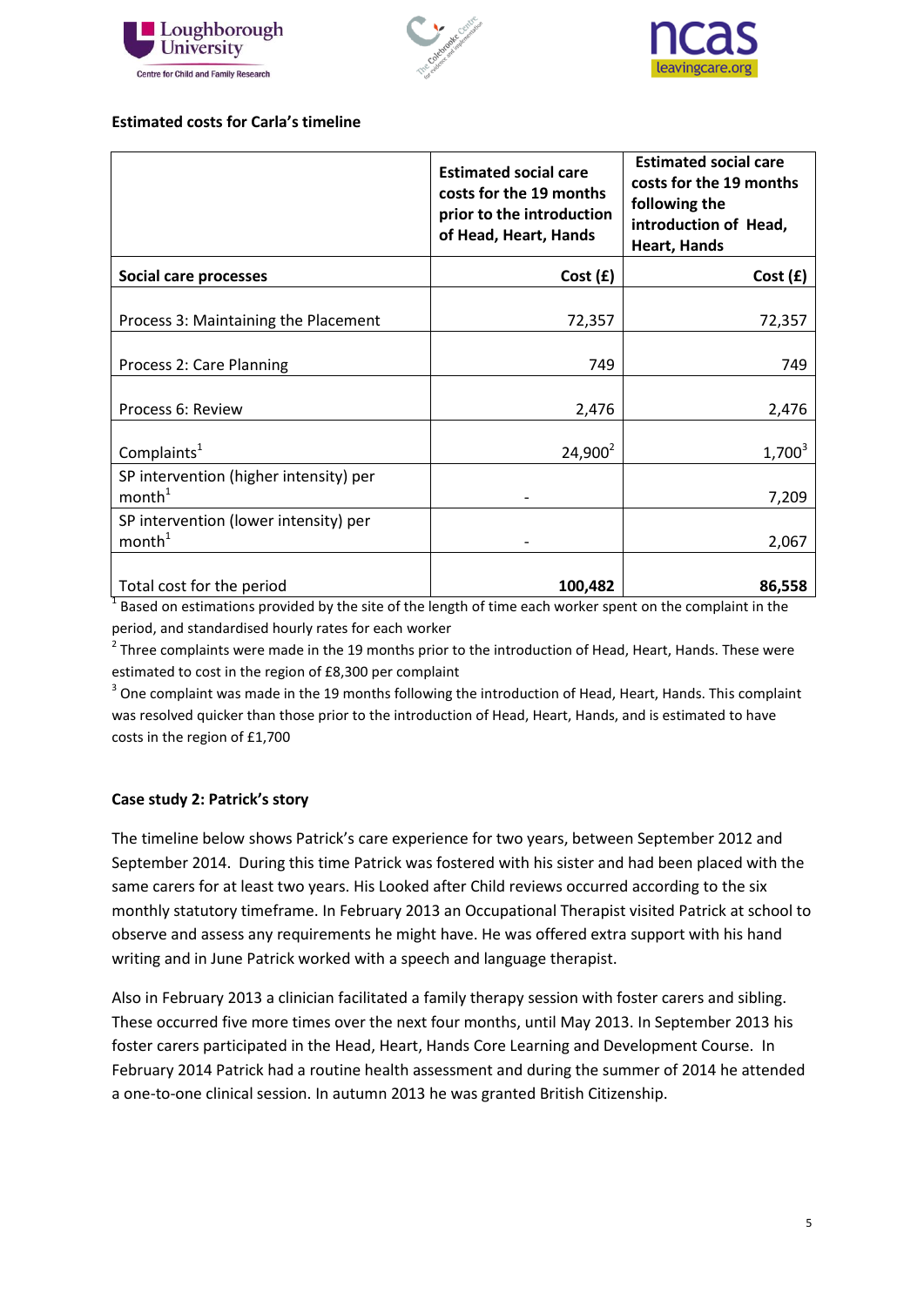





### **Estimated costs for Carla's timeline**

|                                                              | <b>Estimated social care</b><br>costs for the 19 months<br>prior to the introduction<br>of Head, Heart, Hands | <b>Estimated social care</b><br>costs for the 19 months<br>following the<br>introduction of Head,<br><b>Heart, Hands</b> |
|--------------------------------------------------------------|---------------------------------------------------------------------------------------------------------------|--------------------------------------------------------------------------------------------------------------------------|
| Social care processes                                        | Cost(f)                                                                                                       | Cost(f)                                                                                                                  |
| Process 3: Maintaining the Placement                         | 72,357                                                                                                        | 72,357                                                                                                                   |
| Process 2: Care Planning                                     | 749                                                                                                           | 749                                                                                                                      |
| Process 6: Review                                            | 2,476                                                                                                         | 2,476                                                                                                                    |
| Complaints <sup>1</sup>                                      | $24,900^2$                                                                                                    | $1,700^3$                                                                                                                |
| SP intervention (higher intensity) per<br>month <sup>1</sup> |                                                                                                               | 7,209                                                                                                                    |
| SP intervention (lower intensity) per<br>month <sup>1</sup>  |                                                                                                               | 2,067                                                                                                                    |
| Total cost for the period                                    | 100,482                                                                                                       | 86,558                                                                                                                   |

 $1$  Based on estimations provided by the site of the length of time each worker spent on the complaint in the period, and standardised hourly rates for each worker

 $2$  Three complaints were made in the 19 months prior to the introduction of Head, Heart, Hands. These were estimated to cost in the region of £8,300 per complaint

 $3$  One complaint was made in the 19 months following the introduction of Head, Heart, Hands. This complaint was resolved quicker than those prior to the introduction of Head, Heart, Hands, and is estimated to have costs in the region of £1,700

### **Case study 2: Patrick's story**

The timeline below shows Patrick's care experience for two years, between September 2012 and September 2014. During this time Patrick was fostered with his sister and had been placed with the same carers for at least two years. His Looked after Child reviews occurred according to the six monthly statutory timeframe. In February 2013 an Occupational Therapist visited Patrick at school to observe and assess any requirements he might have. He was offered extra support with his hand writing and in June Patrick worked with a speech and language therapist.

Also in February 2013 a clinician facilitated a family therapy session with foster carers and sibling. These occurred five more times over the next four months, until May 2013. In September 2013 his foster carers participated in the Head, Heart, Hands Core Learning and Development Course. In February 2014 Patrick had a routine health assessment and during the summer of 2014 he attended a one-to-one clinical session. In autumn 2013 he was granted British Citizenship.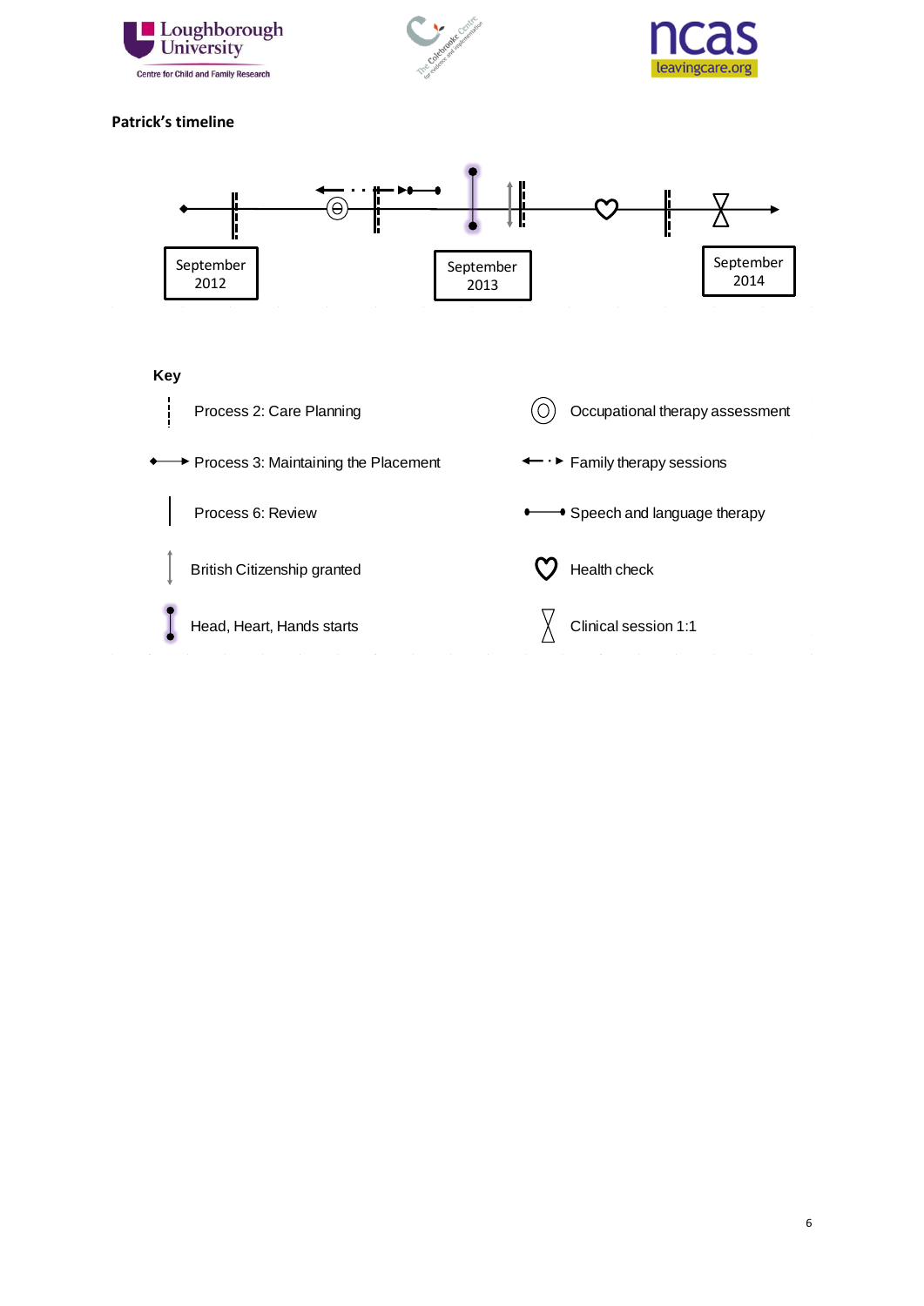





#### **Patrick's timeline**

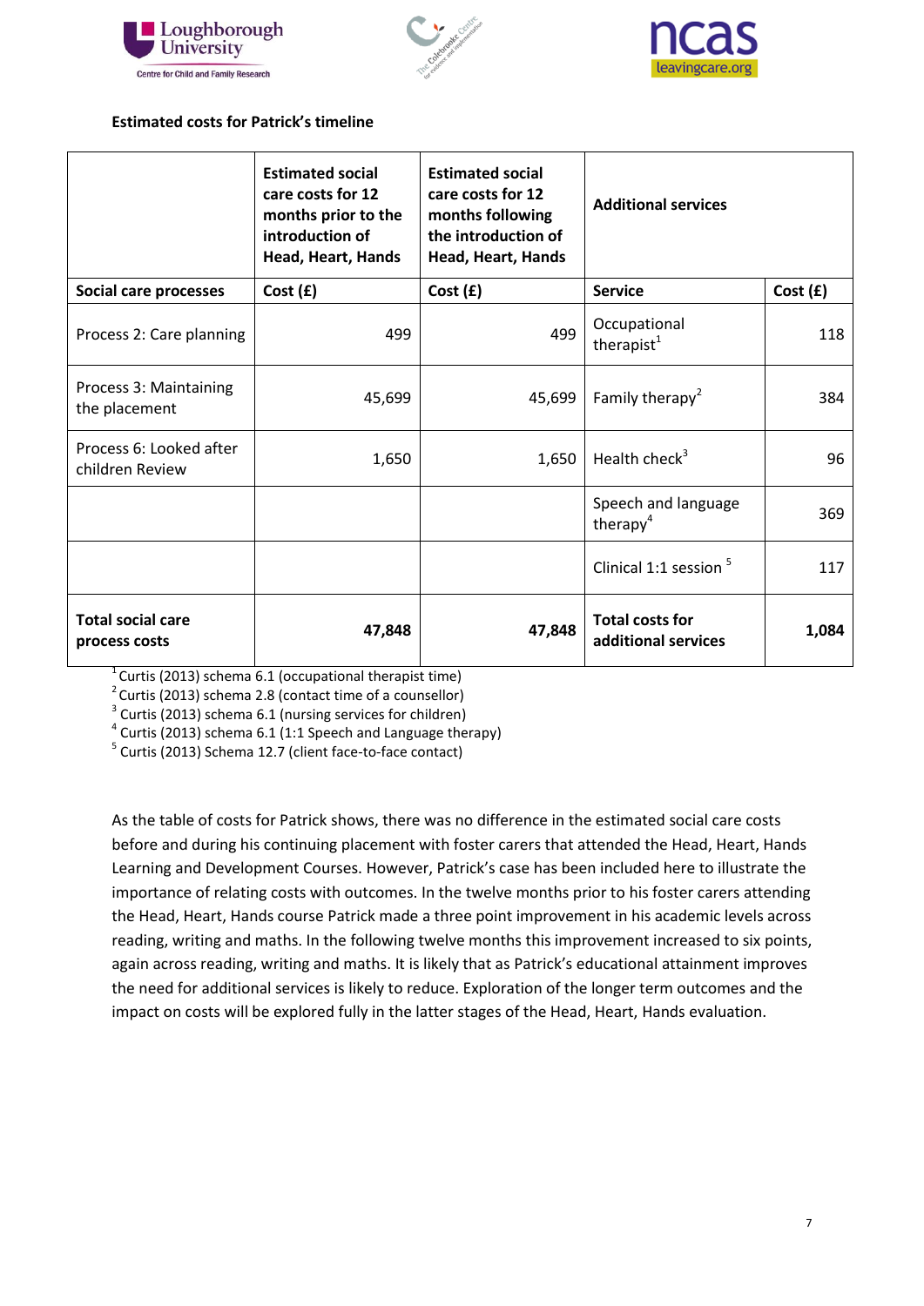





### **Estimated costs for Patrick's timeline**

|                                            | <b>Estimated social</b><br>care costs for 12<br>months prior to the<br>introduction of<br>Head, Heart, Hands | <b>Estimated social</b><br>care costs for 12<br>months following<br>the introduction of<br>Head, Heart, Hands | <b>Additional services</b>                    |         |
|--------------------------------------------|--------------------------------------------------------------------------------------------------------------|---------------------------------------------------------------------------------------------------------------|-----------------------------------------------|---------|
| Social care processes                      | Cost(f)                                                                                                      | Cost(f)                                                                                                       | <b>Service</b>                                | Cost(f) |
| Process 2: Care planning                   | 499                                                                                                          | 499                                                                                                           | Occupational<br>therapist $1$                 | 118     |
| Process 3: Maintaining<br>the placement    | 45,699                                                                                                       | 45,699                                                                                                        | Family therapy <sup>2</sup>                   | 384     |
| Process 6: Looked after<br>children Review | 1,650                                                                                                        | 1,650                                                                                                         | Health check $3$                              | 96      |
|                                            |                                                                                                              |                                                                                                               | Speech and language<br>therapy <sup>4</sup>   | 369     |
|                                            |                                                                                                              |                                                                                                               | Clinical 1:1 session <sup>5</sup>             | 117     |
| <b>Total social care</b><br>process costs  | 47,848                                                                                                       | 47,848                                                                                                        | <b>Total costs for</b><br>additional services | 1,084   |

 $1$ Curtis (2013) schema 6.1 (occupational therapist time)

 $2$  Curtis (2013) schema 2.8 (contact time of a counsellor)

<sup>3</sup> Curtis (2013) schema 6.1 (nursing services for children)

 $4$  Curtis (2013) schema 6.1 (1:1 Speech and Language therapy)

<sup>5</sup> Curtis (2013) Schema 12.7 (client face-to-face contact)

As the table of costs for Patrick shows, there was no difference in the estimated social care costs before and during his continuing placement with foster carers that attended the Head, Heart, Hands Learning and Development Courses. However, Patrick's case has been included here to illustrate the importance of relating costs with outcomes. In the twelve months prior to his foster carers attending the Head, Heart, Hands course Patrick made a three point improvement in his academic levels across reading, writing and maths. In the following twelve months this improvement increased to six points, again across reading, writing and maths. It is likely that as Patrick's educational attainment improves the need for additional services is likely to reduce. Exploration of the longer term outcomes and the impact on costs will be explored fully in the latter stages of the Head, Heart, Hands evaluation.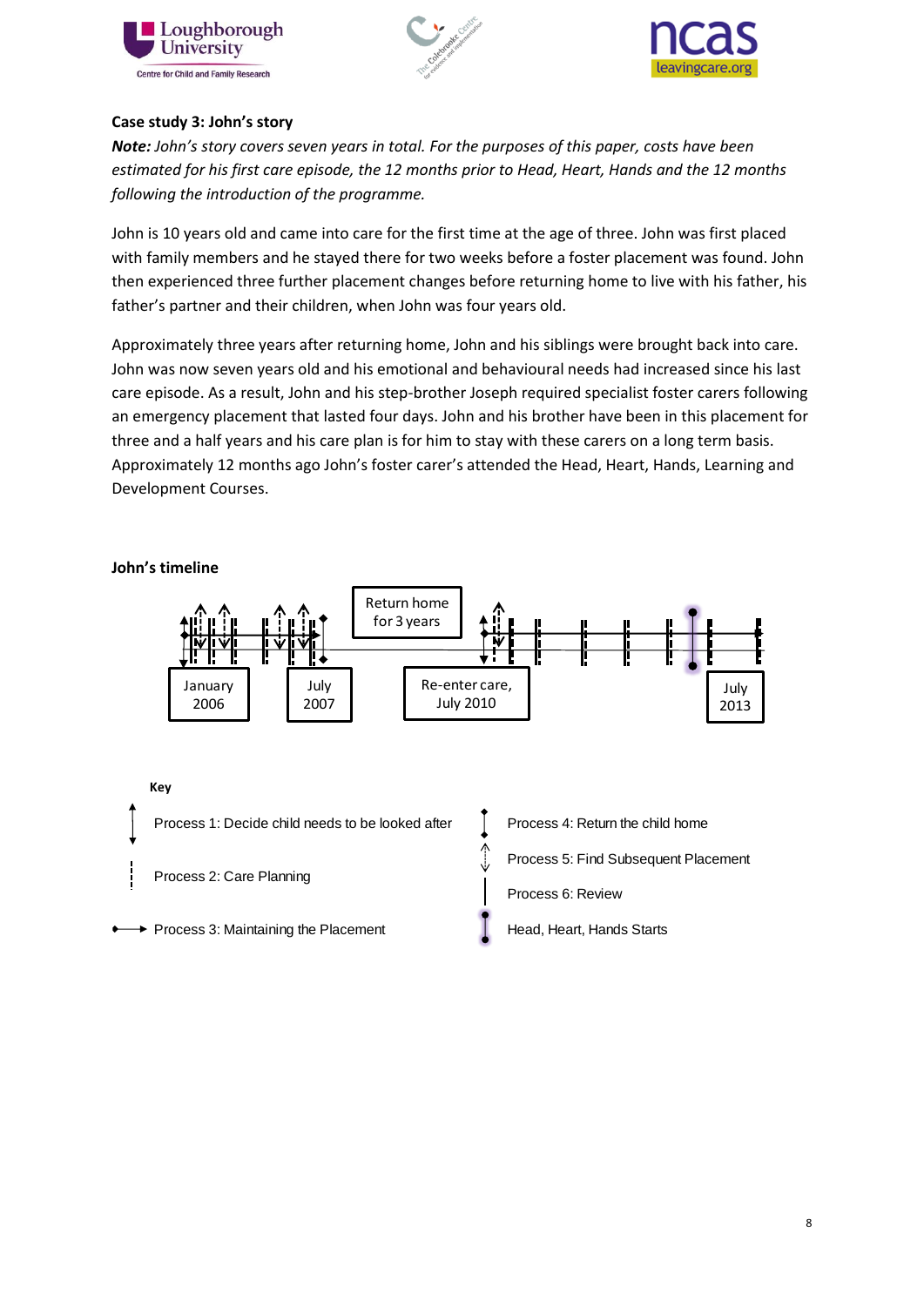





# **Case study 3: John's story**

*Note: John's story covers seven years in total. For the purposes of this paper, costs have been estimated for his first care episode, the 12 months prior to Head, Heart, Hands and the 12 months following the introduction of the programme.* 

John is 10 years old and came into care for the first time at the age of three. John was first placed with family members and he stayed there for two weeks before a foster placement was found. John then experienced three further placement changes before returning home to live with his father, his father's partner and their children, when John was four years old.

Approximately three years after returning home, John and his siblings were brought back into care. John was now seven years old and his emotional and behavioural needs had increased since his last care episode. As a result, John and his step-brother Joseph required specialist foster carers following an emergency placement that lasted four days. John and his brother have been in this placement for three and a half years and his care plan is for him to stay with these carers on a long term basis. Approximately 12 months ago John's foster carer's attended the Head, Heart, Hands, Learning and Development Courses.

**John's timeline**

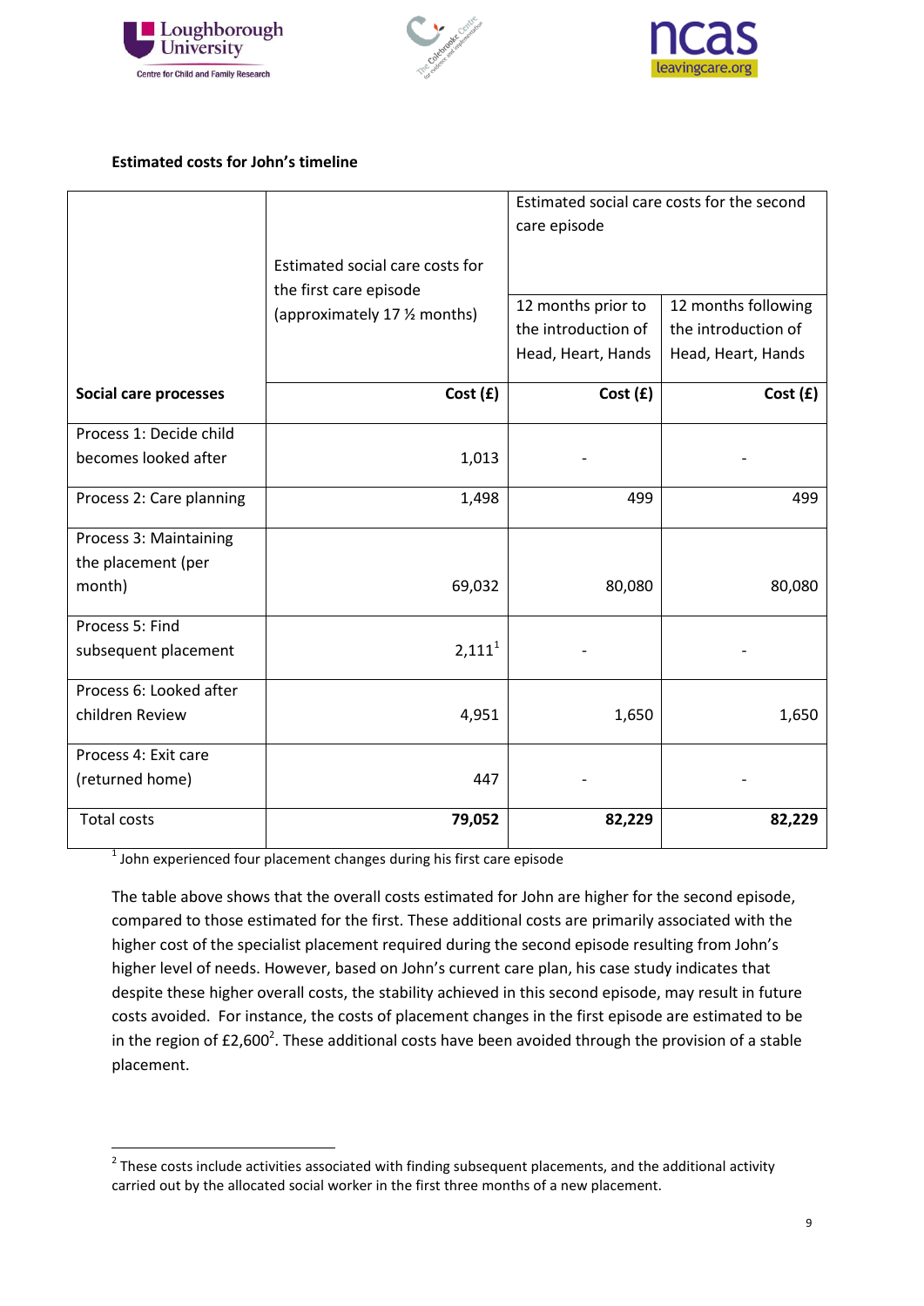





# **Estimated costs for John's timeline**

|                          |                                 | Estimated social care costs for the second |                     |
|--------------------------|---------------------------------|--------------------------------------------|---------------------|
|                          |                                 | care episode                               |                     |
|                          | Estimated social care costs for |                                            |                     |
|                          | the first care episode          |                                            |                     |
|                          | (approximately 17 % months)     | 12 months prior to                         | 12 months following |
|                          |                                 | the introduction of                        | the introduction of |
|                          |                                 | Head, Heart, Hands                         | Head, Heart, Hands  |
| Social care processes    | Cost(f)                         | Cost(f)                                    | Cost(f)             |
| Process 1: Decide child  |                                 |                                            |                     |
| becomes looked after     | 1,013                           |                                            |                     |
| Process 2: Care planning | 1,498                           | 499                                        | 499                 |
| Process 3: Maintaining   |                                 |                                            |                     |
| the placement (per       |                                 |                                            |                     |
| month)                   | 69,032                          | 80,080                                     | 80,080              |
| Process 5: Find          |                                 |                                            |                     |
| subsequent placement     | 2,111 <sup>1</sup>              |                                            |                     |
| Process 6: Looked after  |                                 |                                            |                     |
| children Review          | 4,951                           | 1,650                                      | 1,650               |
| Process 4: Exit care     |                                 |                                            |                     |
| (returned home)          | 447                             |                                            |                     |
| <b>Total costs</b>       | 79,052                          | 82,229                                     | 82,229              |

 $<sup>1</sup>$  John experienced four placement changes during his first care episode</sup>

The table above shows that the overall costs estimated for John are higher for the second episode, compared to those estimated for the first. These additional costs are primarily associated with the higher cost of the specialist placement required during the second episode resulting from John's higher level of needs. However, based on John's current care plan, his case study indicates that despite these higher overall costs, the stability achieved in this second episode, may result in future costs avoided. For instance, the costs of placement changes in the first episode are estimated to be in the region of £2,600<sup>2</sup>. These additional costs have been avoided through the provision of a stable placement.

 2 These costs include activities associated with finding subsequent placements, and the additional activity carried out by the allocated social worker in the first three months of a new placement.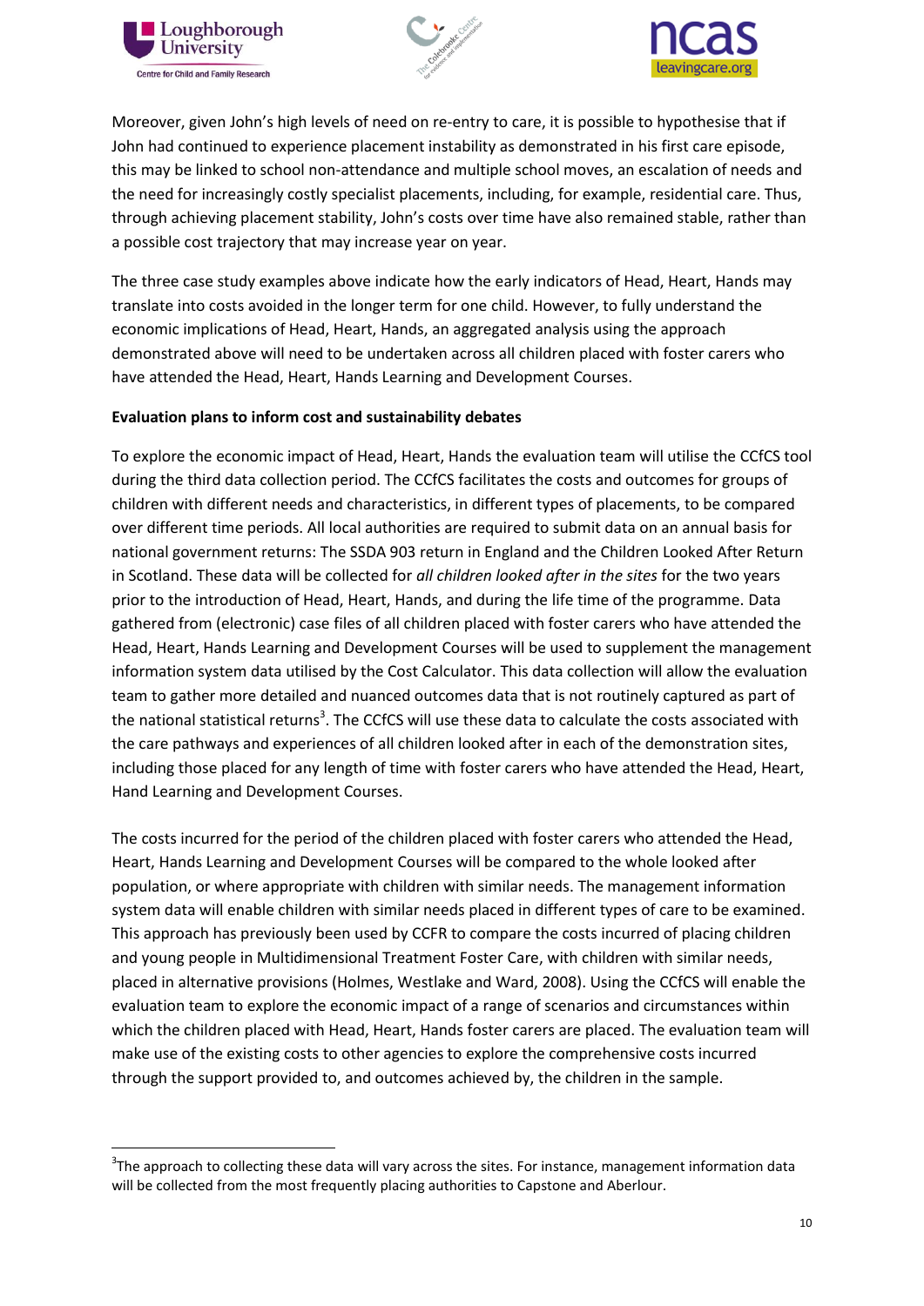

1





Moreover, given John's high levels of need on re-entry to care, it is possible to hypothesise that if John had continued to experience placement instability as demonstrated in his first care episode, this may be linked to school non-attendance and multiple school moves, an escalation of needs and the need for increasingly costly specialist placements, including, for example, residential care. Thus, through achieving placement stability, John's costs over time have also remained stable, rather than a possible cost trajectory that may increase year on year.

The three case study examples above indicate how the early indicators of Head, Heart, Hands may translate into costs avoided in the longer term for one child. However, to fully understand the economic implications of Head, Heart, Hands, an aggregated analysis using the approach demonstrated above will need to be undertaken across all children placed with foster carers who have attended the Head, Heart, Hands Learning and Development Courses.

### **Evaluation plans to inform cost and sustainability debates**

To explore the economic impact of Head, Heart, Hands the evaluation team will utilise the CCfCS tool during the third data collection period. The CCfCS facilitates the costs and outcomes for groups of children with different needs and characteristics, in different types of placements, to be compared over different time periods. All local authorities are required to submit data on an annual basis for national government returns: The SSDA 903 return in England and the Children Looked After Return in Scotland. These data will be collected for *all children looked after in the sites* for the two years prior to the introduction of Head, Heart, Hands, and during the life time of the programme. Data gathered from (electronic) case files of all children placed with foster carers who have attended the Head, Heart, Hands Learning and Development Courses will be used to supplement the management information system data utilised by the Cost Calculator. This data collection will allow the evaluation team to gather more detailed and nuanced outcomes data that is not routinely captured as part of the national statistical returns<sup>3</sup>. The CCfCS will use these data to calculate the costs associated with the care pathways and experiences of all children looked after in each of the demonstration sites, including those placed for any length of time with foster carers who have attended the Head, Heart, Hand Learning and Development Courses.

The costs incurred for the period of the children placed with foster carers who attended the Head, Heart, Hands Learning and Development Courses will be compared to the whole looked after population, or where appropriate with children with similar needs. The management information system data will enable children with similar needs placed in different types of care to be examined. This approach has previously been used by CCFR to compare the costs incurred of placing children and young people in Multidimensional Treatment Foster Care, with children with similar needs, placed in alternative provisions (Holmes, Westlake and Ward, 2008). Using the CCfCS will enable the evaluation team to explore the economic impact of a range of scenarios and circumstances within which the children placed with Head, Heart, Hands foster carers are placed. The evaluation team will make use of the existing costs to other agencies to explore the comprehensive costs incurred through the support provided to, and outcomes achieved by, the children in the sample.

<sup>&</sup>lt;sup>3</sup>The approach to collecting these data will vary across the sites. For instance, management information data will be collected from the most frequently placing authorities to Capstone and Aberlour.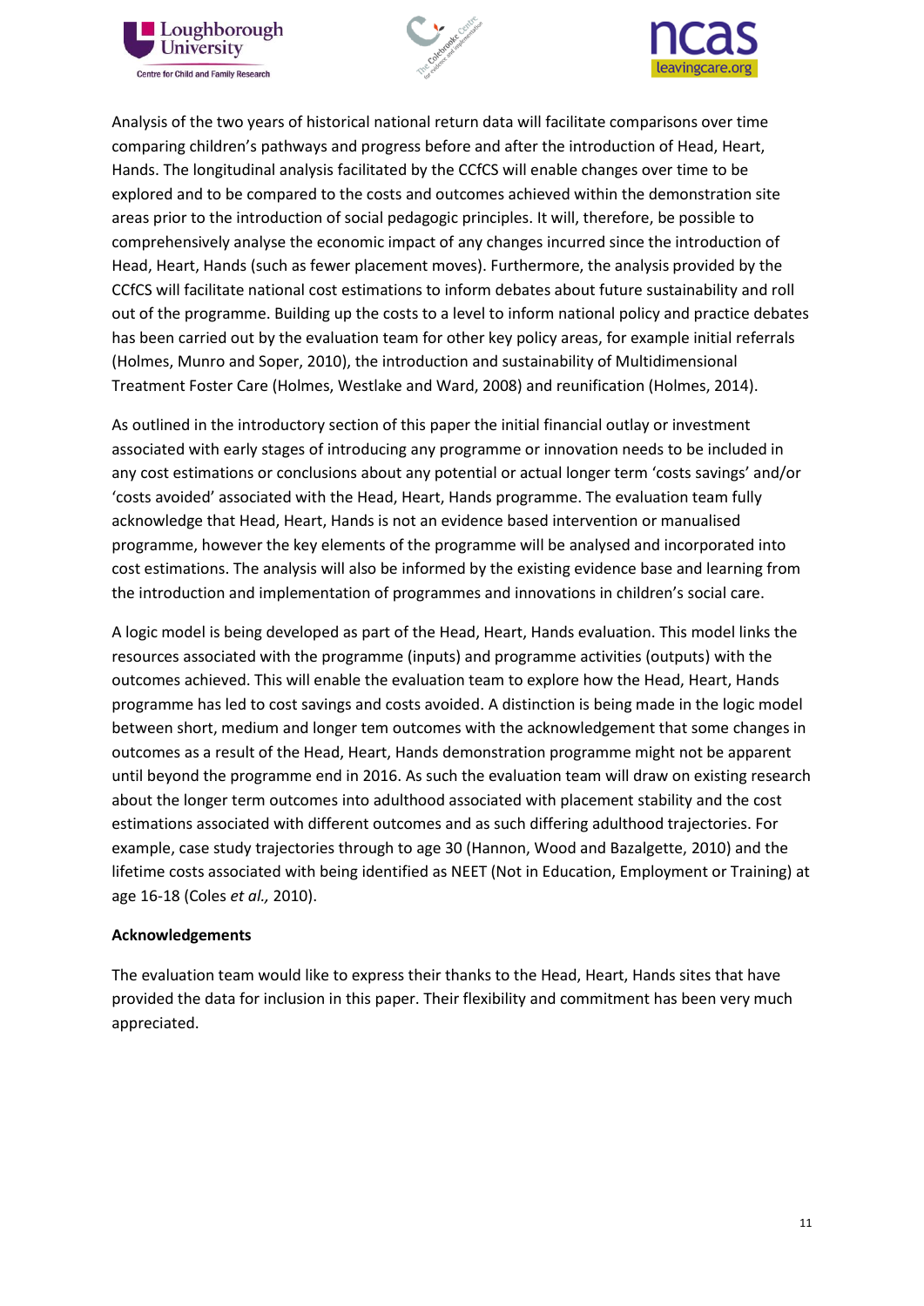





Analysis of the two years of historical national return data will facilitate comparisons over time comparing children's pathways and progress before and after the introduction of Head, Heart, Hands. The longitudinal analysis facilitated by the CCfCS will enable changes over time to be explored and to be compared to the costs and outcomes achieved within the demonstration site areas prior to the introduction of social pedagogic principles. It will, therefore, be possible to comprehensively analyse the economic impact of any changes incurred since the introduction of Head, Heart, Hands (such as fewer placement moves). Furthermore, the analysis provided by the CCfCS will facilitate national cost estimations to inform debates about future sustainability and roll out of the programme. Building up the costs to a level to inform national policy and practice debates has been carried out by the evaluation team for other key policy areas, for example initial referrals (Holmes, Munro and Soper, 2010), the introduction and sustainability of Multidimensional Treatment Foster Care (Holmes, Westlake and Ward, 2008) and reunification (Holmes, 2014).

As outlined in the introductory section of this paper the initial financial outlay or investment associated with early stages of introducing any programme or innovation needs to be included in any cost estimations or conclusions about any potential or actual longer term 'costs savings' and/or 'costs avoided' associated with the Head, Heart, Hands programme. The evaluation team fully acknowledge that Head, Heart, Hands is not an evidence based intervention or manualised programme, however the key elements of the programme will be analysed and incorporated into cost estimations. The analysis will also be informed by the existing evidence base and learning from the introduction and implementation of programmes and innovations in children's social care.

A logic model is being developed as part of the Head, Heart, Hands evaluation. This model links the resources associated with the programme (inputs) and programme activities (outputs) with the outcomes achieved. This will enable the evaluation team to explore how the Head, Heart, Hands programme has led to cost savings and costs avoided. A distinction is being made in the logic model between short, medium and longer tem outcomes with the acknowledgement that some changes in outcomes as a result of the Head, Heart, Hands demonstration programme might not be apparent until beyond the programme end in 2016. As such the evaluation team will draw on existing research about the longer term outcomes into adulthood associated with placement stability and the cost estimations associated with different outcomes and as such differing adulthood trajectories. For example, case study trajectories through to age 30 (Hannon, Wood and Bazalgette, 2010) and the lifetime costs associated with being identified as NEET (Not in Education, Employment or Training) at age 16-18 (Coles *et al.,* 2010).

#### **Acknowledgements**

The evaluation team would like to express their thanks to the Head, Heart, Hands sites that have provided the data for inclusion in this paper. Their flexibility and commitment has been very much appreciated.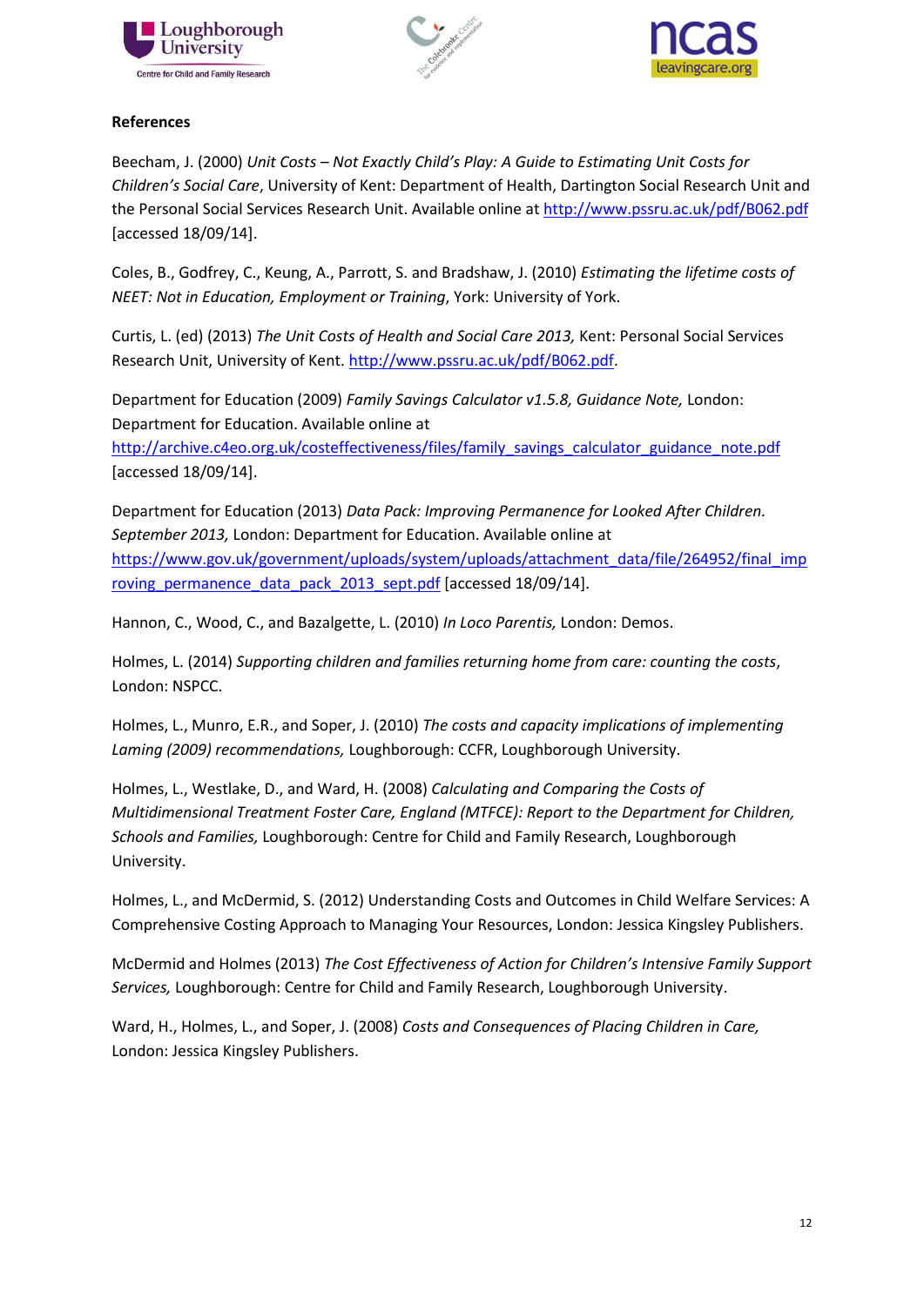





# **References**

Beecham, J. (2000) *Unit Costs – Not Exactly Child's Play: A Guide to Estimating Unit Costs for Children's Social Care*, University of Kent: Department of Health, Dartington Social Research Unit and the Personal Social Services Research Unit. Available online at<http://www.pssru.ac.uk/pdf/B062.pdf> [accessed 18/09/14].

Coles, B., Godfrey, C., Keung, A., Parrott, S. and Bradshaw, J. (2010) *Estimating the lifetime costs of NEET: Not in Education, Employment or Training*, York: University of York.

Curtis, L. (ed) (2013) *The Unit Costs of Health and Social Care 2013,* Kent: Personal Social Services Research Unit, University of Kent[. http://www.pssru.ac.uk/pdf/B062.pdf.](http://www.pssru.ac.uk/pdf/B062.pdf)

Department for Education (2009) *Family Savings Calculator v1.5.8, Guidance Note,* London: Department for Education. Available online at http://archive.c4eo.org.uk/costeffectiveness/files/family\_savings\_calculator\_guidance\_note.pdf [accessed 18/09/14].

Department for Education (2013) *Data Pack: Improving Permanence for Looked After Children. September 2013,* London: Department for Education. Available online at [https://www.gov.uk/government/uploads/system/uploads/attachment\\_data/file/264952/final\\_imp](https://www.gov.uk/government/uploads/system/uploads/attachment_data/file/264952/final_improving_permanence_data_pack_2013_sept.pdf) roving permanence data pack 2013 sept.pdf [accessed 18/09/14].

Hannon, C., Wood, C., and Bazalgette, L. (2010) *In Loco Parentis,* London: Demos.

Holmes, L. (2014) *Supporting children and families returning home from care: counting the costs*, London: NSPCC.

Holmes, L., Munro, E.R., and Soper, J. (2010) *The costs and capacity implications of implementing Laming (2009) recommendations,* Loughborough: CCFR, Loughborough University.

Holmes, L., Westlake, D., and Ward, H. (2008) *Calculating and Comparing the Costs of Multidimensional Treatment Foster Care, England (MTFCE): Report to the Department for Children, Schools and Families,* Loughborough: Centre for Child and Family Research, Loughborough University.

Holmes, L., and McDermid, S. (2012) Understanding Costs and Outcomes in Child Welfare Services: A Comprehensive Costing Approach to Managing Your Resources, London: Jessica Kingsley Publishers.

McDermid and Holmes (2013) *The Cost Effectiveness of Action for Children's Intensive Family Support Services,* Loughborough: Centre for Child and Family Research, Loughborough University.

Ward, H., Holmes, L., and Soper, J. (2008) *Costs and Consequences of Placing Children in Care,* London: Jessica Kingsley Publishers.